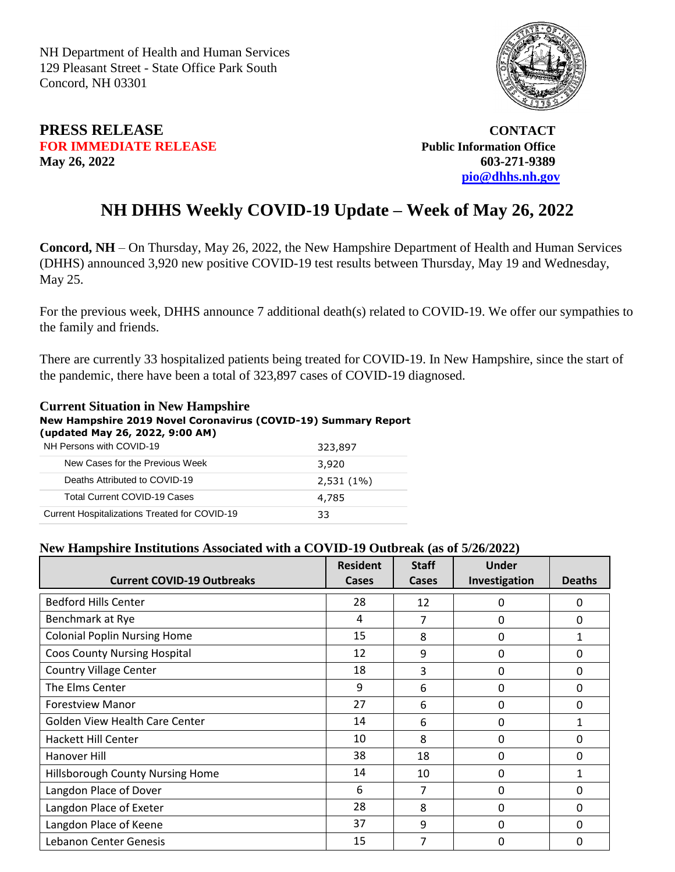NH Department of Health and Human Services 129 Pleasant Street - State Office Park South Concord, NH 03301



## **PRESS RELEASE CONTACT FOR IMMEDIATE RELEASE** *Public Information Office* **May 26, 2022 603-271-9389**

 **[pio@dhhs.nh.gov](file:///C:/Users/laura.m.montenegro/Desktop/COVID%2019%20Daily%20Press%20Releases/pio@dhhs.nh.gov)**

## **NH DHHS Weekly COVID-19 Update – Week of May 26, 2022**

**Concord, NH** – On Thursday, May 26, 2022, the New Hampshire Department of Health and Human Services (DHHS) announced 3,920 new positive COVID-19 test results between Thursday, May 19 and Wednesday, May 25.

For the previous week, DHHS announce 7 additional death(s) related to COVID-19. We offer our sympathies to the family and friends.

There are currently 33 hospitalized patients being treated for COVID-19. In New Hampshire, since the start of the pandemic, there have been a total of 323,897 cases of COVID-19 diagnosed.

## **Current Situation in New Hampshire New Hampshire 2019 Novel Coronavirus (COVID-19) Summary Report (updated May 26, 2022, 9:00 AM)**

| NH Persons with COVID-19                      | 323,897      |
|-----------------------------------------------|--------------|
| New Cases for the Previous Week               | 3,920        |
| Deaths Attributed to COVID-19                 | $2,531(1\%)$ |
| <b>Total Current COVID-19 Cases</b>           | 4,785        |
| Current Hospitalizations Treated for COVID-19 | 33           |

## **New Hampshire Institutions Associated with a COVID-19 Outbreak (as of 5/26/2022)**

| <b>Current COVID-19 Outbreaks</b>     | <b>Resident</b><br>Cases | <b>Staff</b><br><b>Cases</b> | <b>Under</b><br>Investigation | <b>Deaths</b> |
|---------------------------------------|--------------------------|------------------------------|-------------------------------|---------------|
| <b>Bedford Hills Center</b>           | 28                       | 12                           | 0                             | 0             |
| Benchmark at Rye                      | 4                        | 7                            | 0                             | $\mathbf{0}$  |
| <b>Colonial Poplin Nursing Home</b>   | 15                       | 8                            | 0                             | $\mathbf{1}$  |
| <b>Coos County Nursing Hospital</b>   | 12                       | 9                            | 0                             | 0             |
| <b>Country Village Center</b>         | 18                       | 3                            | 0                             | 0             |
| The Elms Center                       | 9                        | 6                            | 0                             | 0             |
| <b>Forestview Manor</b>               | 27                       | 6                            | 0                             | $\Omega$      |
| <b>Golden View Health Care Center</b> | 14                       | 6                            | 0                             | $\mathbf{1}$  |
| <b>Hackett Hill Center</b>            | 10                       | 8                            | 0                             | 0             |
| Hanover Hill                          | 38                       | 18                           | 0                             | 0             |
| Hillsborough County Nursing Home      | 14                       | 10                           | 0                             | $\mathbf{1}$  |
| Langdon Place of Dover                | 6                        | 7                            | 0                             | 0             |
| Langdon Place of Exeter               | 28                       | 8                            | 0                             | $\Omega$      |
| Langdon Place of Keene                | 37                       | 9                            | 0                             | 0             |
| Lebanon Center Genesis                | 15                       | 7                            | 0                             | 0             |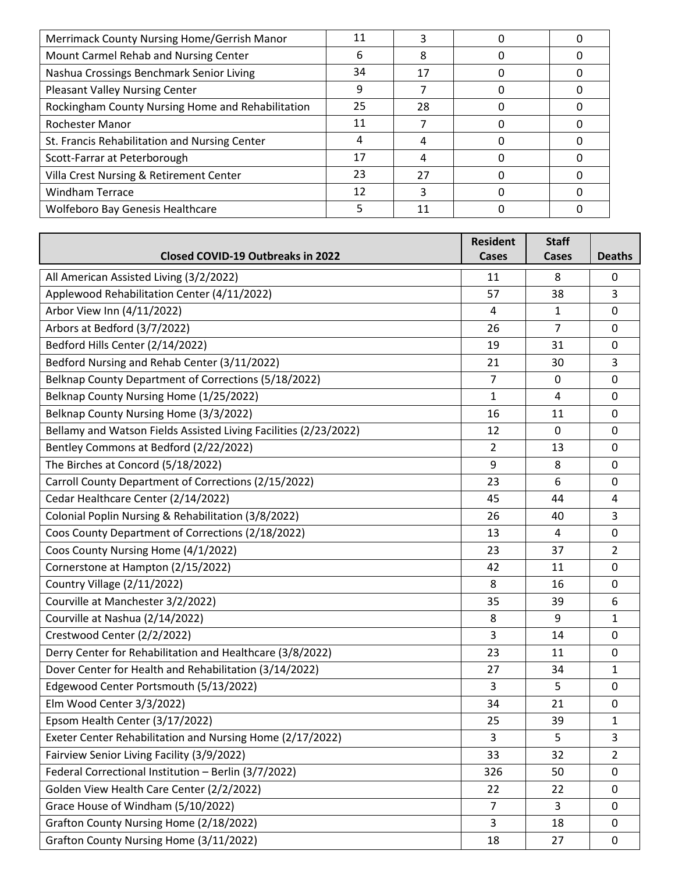| Merrimack County Nursing Home/Gerrish Manor       | 11 |    |  |
|---------------------------------------------------|----|----|--|
| Mount Carmel Rehab and Nursing Center             | n  | 8  |  |
| Nashua Crossings Benchmark Senior Living          | 34 | 17 |  |
| <b>Pleasant Valley Nursing Center</b>             | q  |    |  |
| Rockingham County Nursing Home and Rehabilitation | 25 | 28 |  |
| Rochester Manor                                   | 11 |    |  |
| St. Francis Rehabilitation and Nursing Center     | 4  |    |  |
| Scott-Farrar at Peterborough                      | 17 |    |  |
| Villa Crest Nursing & Retirement Center           | 23 | 27 |  |
| <b>Windham Terrace</b>                            | 12 |    |  |
| <b>Wolfeboro Bay Genesis Healthcare</b>           |    | 11 |  |

|                                                                  | <b>Resident</b> | <b>Staff</b>   |                |
|------------------------------------------------------------------|-----------------|----------------|----------------|
| <b>Closed COVID-19 Outbreaks in 2022</b>                         | Cases           | Cases          | <b>Deaths</b>  |
| All American Assisted Living (3/2/2022)                          | 11              | 8              | 0              |
| Applewood Rehabilitation Center (4/11/2022)                      | 57              | 38             | 3              |
| Arbor View Inn (4/11/2022)                                       | 4               | $\mathbf{1}$   | 0              |
| Arbors at Bedford (3/7/2022)                                     | 26              | $\overline{7}$ | 0              |
| Bedford Hills Center (2/14/2022)                                 | 19              | 31             | 0              |
| Bedford Nursing and Rehab Center (3/11/2022)                     | 21              | 30             | 3              |
| Belknap County Department of Corrections (5/18/2022)             | $\overline{7}$  | 0              | 0              |
| Belknap County Nursing Home (1/25/2022)                          | $\mathbf{1}$    | 4              | 0              |
| Belknap County Nursing Home (3/3/2022)                           | 16              | 11             | 0              |
| Bellamy and Watson Fields Assisted Living Facilities (2/23/2022) | 12              | 0              | 0              |
| Bentley Commons at Bedford (2/22/2022)                           | 2               | 13             | 0              |
| The Birches at Concord (5/18/2022)                               | 9               | 8              | 0              |
| Carroll County Department of Corrections (2/15/2022)             | 23              | 6              | 0              |
| Cedar Healthcare Center (2/14/2022)                              | 45              | 44             | 4              |
| Colonial Poplin Nursing & Rehabilitation (3/8/2022)              | 26              | 40             | 3              |
| Coos County Department of Corrections (2/18/2022)                | 13              | 4              | 0              |
| Coos County Nursing Home (4/1/2022)                              | 23              | 37             | $\overline{2}$ |
| Cornerstone at Hampton (2/15/2022)                               | 42              | 11             | 0              |
| Country Village (2/11/2022)                                      | 8               | 16             | 0              |
| Courville at Manchester 3/2/2022)                                | 35              | 39             | 6              |
| Courville at Nashua (2/14/2022)                                  | 8               | 9              | 1              |
| Crestwood Center (2/2/2022)                                      | 3               | 14             | 0              |
| Derry Center for Rehabilitation and Healthcare (3/8/2022)        | 23              | 11             | 0              |
| Dover Center for Health and Rehabilitation (3/14/2022)           | 27              | 34             | $\mathbf{1}$   |
| Edgewood Center Portsmouth (5/13/2022)                           | 3               | 5              | 0              |
| Elm Wood Center 3/3/2022)                                        | 34              | 21             | 0              |
| Epsom Health Center (3/17/2022)                                  | 25              | 39             | $\mathbf{1}$   |
| Exeter Center Rehabilitation and Nursing Home (2/17/2022)        | 3               | 5              | 3              |
| Fairview Senior Living Facility (3/9/2022)                       | 33              | 32             | $\overline{2}$ |
| Federal Correctional Institution - Berlin (3/7/2022)             | 326             | 50             | 0              |
| Golden View Health Care Center (2/2/2022)                        | 22              | 22             | 0              |
| Grace House of Windham (5/10/2022)                               | $\overline{7}$  | 3              | 0              |
| Grafton County Nursing Home (2/18/2022)                          | 3               | 18             | 0              |
| Grafton County Nursing Home (3/11/2022)                          | 18              | 27             | 0              |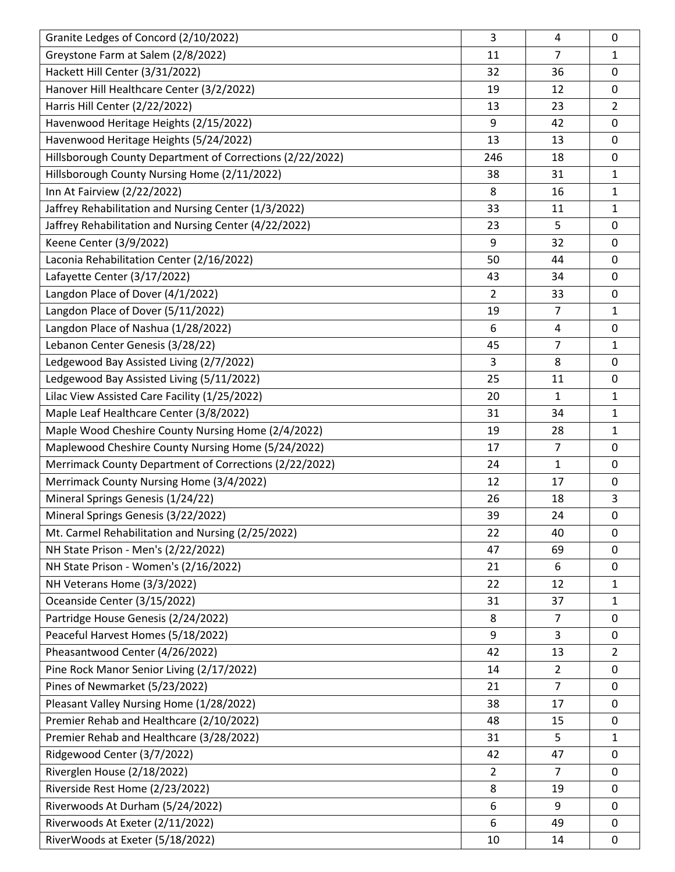| Granite Ledges of Concord (2/10/2022)                     | 3              | 4              | 0              |
|-----------------------------------------------------------|----------------|----------------|----------------|
| Greystone Farm at Salem (2/8/2022)                        | 11             | $\overline{7}$ | 1              |
| Hackett Hill Center (3/31/2022)                           | 32             | 36             | 0              |
| Hanover Hill Healthcare Center (3/2/2022)                 | 19             | 12             | 0              |
| Harris Hill Center (2/22/2022)                            | 13             | 23             | $\overline{2}$ |
| Havenwood Heritage Heights (2/15/2022)                    | 9              | 42             | 0              |
| Havenwood Heritage Heights (5/24/2022)                    | 13             | 13             | 0              |
| Hillsborough County Department of Corrections (2/22/2022) | 246            | 18             | 0              |
| Hillsborough County Nursing Home (2/11/2022)              | 38             | 31             | $\mathbf{1}$   |
| Inn At Fairview (2/22/2022)                               | 8              | 16             | $\mathbf{1}$   |
| Jaffrey Rehabilitation and Nursing Center (1/3/2022)      | 33             | 11             | $\mathbf{1}$   |
| Jaffrey Rehabilitation and Nursing Center (4/22/2022)     | 23             | 5              | 0              |
| Keene Center (3/9/2022)                                   | 9              | 32             | 0              |
| Laconia Rehabilitation Center (2/16/2022)                 | 50             | 44             | 0              |
| Lafayette Center (3/17/2022)                              | 43             | 34             | 0              |
| Langdon Place of Dover (4/1/2022)                         | $\overline{2}$ | 33             | 0              |
| Langdon Place of Dover (5/11/2022)                        | 19             | $\overline{7}$ | $\mathbf{1}$   |
| Langdon Place of Nashua (1/28/2022)                       | 6              | 4              | 0              |
| Lebanon Center Genesis (3/28/22)                          | 45             | 7              | $\mathbf{1}$   |
| Ledgewood Bay Assisted Living (2/7/2022)                  | 3              | 8              | 0              |
| Ledgewood Bay Assisted Living (5/11/2022)                 | 25             | 11             | 0              |
| Lilac View Assisted Care Facility (1/25/2022)             | 20             | 1              | $\mathbf{1}$   |
| Maple Leaf Healthcare Center (3/8/2022)                   | 31             | 34             | $\mathbf{1}$   |
| Maple Wood Cheshire County Nursing Home (2/4/2022)        | 19             | 28             | $\mathbf{1}$   |
| Maplewood Cheshire County Nursing Home (5/24/2022)        | 17             | 7              | 0              |
| Merrimack County Department of Corrections (2/22/2022)    | 24             | 1              | 0              |
| Merrimack County Nursing Home (3/4/2022)                  | 12             | 17             | 0              |
| Mineral Springs Genesis (1/24/22)                         | 26             | 18             | 3              |
| Mineral Springs Genesis (3/22/2022)                       | 39             | 24             | 0              |
| Mt. Carmel Rehabilitation and Nursing (2/25/2022)         | 22             | 40             | 0              |
| NH State Prison - Men's (2/22/2022)                       | 47             | 69             | 0              |
| NH State Prison - Women's (2/16/2022)                     | 21             | 6              | 0              |
| NH Veterans Home (3/3/2022)                               | 22             | 12             | $\mathbf{1}$   |
| Oceanside Center (3/15/2022)                              | 31             | 37             | $\mathbf{1}$   |
| Partridge House Genesis (2/24/2022)                       | 8              | $\overline{7}$ | 0              |
| Peaceful Harvest Homes (5/18/2022)                        | 9              | 3              | 0              |
| Pheasantwood Center (4/26/2022)                           | 42             | 13             | $\overline{2}$ |
| Pine Rock Manor Senior Living (2/17/2022)                 | 14             | $\overline{2}$ | 0              |
| Pines of Newmarket (5/23/2022)                            | 21             | $\overline{7}$ | 0              |
| Pleasant Valley Nursing Home (1/28/2022)                  | 38             | 17             | 0              |
| Premier Rehab and Healthcare (2/10/2022)                  | 48             | 15             | 0              |
| Premier Rehab and Healthcare (3/28/2022)                  | 31             | 5              | $\mathbf{1}$   |
| Ridgewood Center (3/7/2022)                               | 42             | 47             | 0              |
| Riverglen House (2/18/2022)                               | $\overline{2}$ | $\overline{7}$ | 0              |
| Riverside Rest Home (2/23/2022)                           | 8              | 19             | 0              |
| Riverwoods At Durham (5/24/2022)                          | 6              | 9              | 0              |
| Riverwoods At Exeter (2/11/2022)                          | 6              | 49             | 0              |
| RiverWoods at Exeter (5/18/2022)                          | 10             | 14             | $\mathbf 0$    |